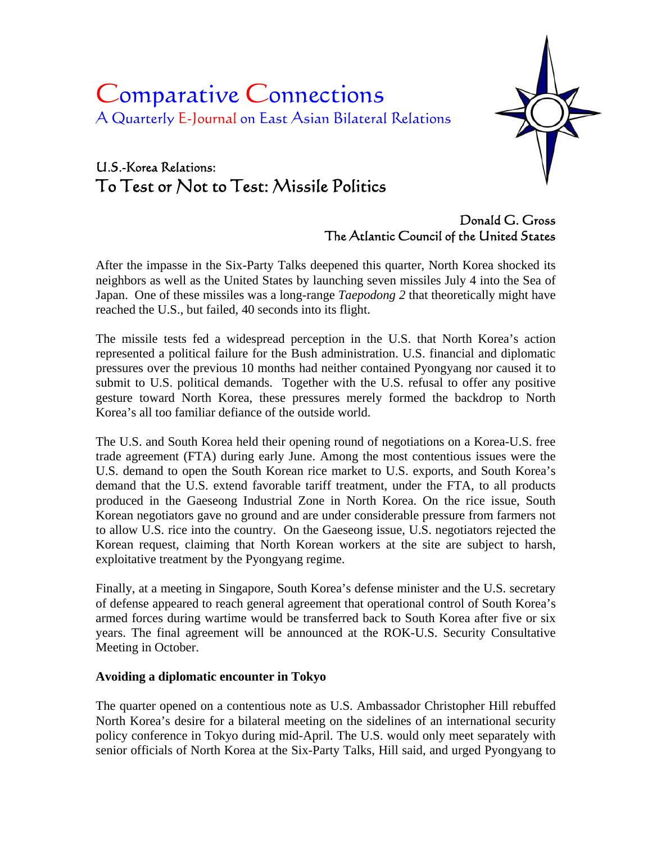# Comparative Connections A Quarterly E-Journal on East Asian Bilateral Relations

# U.S.-Korea Relations: To Test or Not to Test: Missile Politics



Donald G. Gross The Atlantic Council of the United States

After the impasse in the Six-Party Talks deepened this quarter, North Korea shocked its neighbors as well as the United States by launching seven missiles July 4 into the Sea of Japan. One of these missiles was a long-range *Taepodong 2* that theoretically might have reached the U.S., but failed, 40 seconds into its flight.

The missile tests fed a widespread perception in the U.S. that North Korea's action represented a political failure for the Bush administration. U.S. financial and diplomatic pressures over the previous 10 months had neither contained Pyongyang nor caused it to submit to U.S. political demands. Together with the U.S. refusal to offer any positive gesture toward North Korea, these pressures merely formed the backdrop to North Korea's all too familiar defiance of the outside world.

The U.S. and South Korea held their opening round of negotiations on a Korea-U.S. free trade agreement (FTA) during early June. Among the most contentious issues were the U.S. demand to open the South Korean rice market to U.S. exports, and South Korea's demand that the U.S. extend favorable tariff treatment, under the FTA, to all products produced in the Gaeseong Industrial Zone in North Korea. On the rice issue, South Korean negotiators gave no ground and are under considerable pressure from farmers not to allow U.S. rice into the country. On the Gaeseong issue, U.S. negotiators rejected the Korean request, claiming that North Korean workers at the site are subject to harsh, exploitative treatment by the Pyongyang regime.

Finally, at a meeting in Singapore, South Korea's defense minister and the U.S. secretary of defense appeared to reach general agreement that operational control of South Korea's armed forces during wartime would be transferred back to South Korea after five or six years. The final agreement will be announced at the ROK-U.S. Security Consultative Meeting in October.

# **Avoiding a diplomatic encounter in Tokyo**

The quarter opened on a contentious note as U.S. Ambassador Christopher Hill rebuffed North Korea's desire for a bilateral meeting on the sidelines of an international security policy conference in Tokyo during mid-April. The U.S. would only meet separately with senior officials of North Korea at the Six-Party Talks, Hill said, and urged Pyongyang to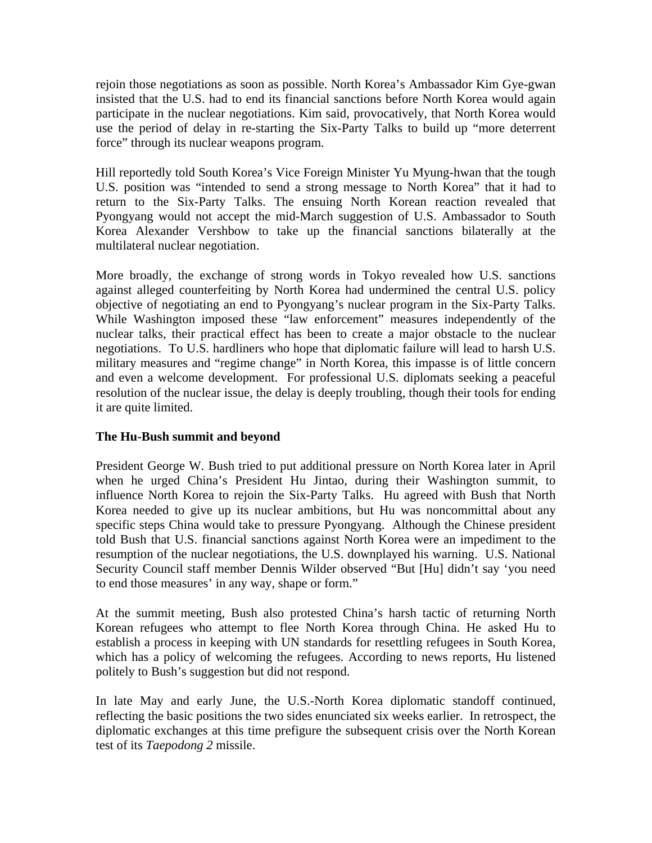rejoin those negotiations as soon as possible. North Korea's Ambassador Kim Gye-gwan insisted that the U.S. had to end its financial sanctions before North Korea would again participate in the nuclear negotiations. Kim said, provocatively, that North Korea would use the period of delay in re-starting the Six-Party Talks to build up "more deterrent force" through its nuclear weapons program.

Hill reportedly told South Korea's Vice Foreign Minister Yu Myung-hwan that the tough U.S. position was "intended to send a strong message to North Korea" that it had to return to the Six-Party Talks. The ensuing North Korean reaction revealed that Pyongyang would not accept the mid-March suggestion of U.S. Ambassador to South Korea Alexander Vershbow to take up the financial sanctions bilaterally at the multilateral nuclear negotiation.

More broadly, the exchange of strong words in Tokyo revealed how U.S. sanctions against alleged counterfeiting by North Korea had undermined the central U.S. policy objective of negotiating an end to Pyongyang's nuclear program in the Six-Party Talks. While Washington imposed these "law enforcement" measures independently of the nuclear talks, their practical effect has been to create a major obstacle to the nuclear negotiations. To U.S. hardliners who hope that diplomatic failure will lead to harsh U.S. military measures and "regime change" in North Korea, this impasse is of little concern and even a welcome development. For professional U.S. diplomats seeking a peaceful resolution of the nuclear issue, the delay is deeply troubling, though their tools for ending it are quite limited.

# **The Hu-Bush summit and beyond**

President George W. Bush tried to put additional pressure on North Korea later in April when he urged China's President Hu Jintao, during their Washington summit, to influence North Korea to rejoin the Six-Party Talks. Hu agreed with Bush that North Korea needed to give up its nuclear ambitions, but Hu was noncommittal about any specific steps China would take to pressure Pyongyang. Although the Chinese president told Bush that U.S. financial sanctions against North Korea were an impediment to the resumption of the nuclear negotiations, the U.S. downplayed his warning. U.S. National Security Council staff member Dennis Wilder observed "But [Hu] didn't say 'you need to end those measures' in any way, shape or form."

At the summit meeting, Bush also protested China's harsh tactic of returning North Korean refugees who attempt to flee North Korea through China. He asked Hu to establish a process in keeping with UN standards for resettling refugees in South Korea, which has a policy of welcoming the refugees. According to news reports, Hu listened politely to Bush's suggestion but did not respond.

In late May and early June, the U.S.-North Korea diplomatic standoff continued, reflecting the basic positions the two sides enunciated six weeks earlier. In retrospect, the diplomatic exchanges at this time prefigure the subsequent crisis over the North Korean test of its *Taepodong 2* missile.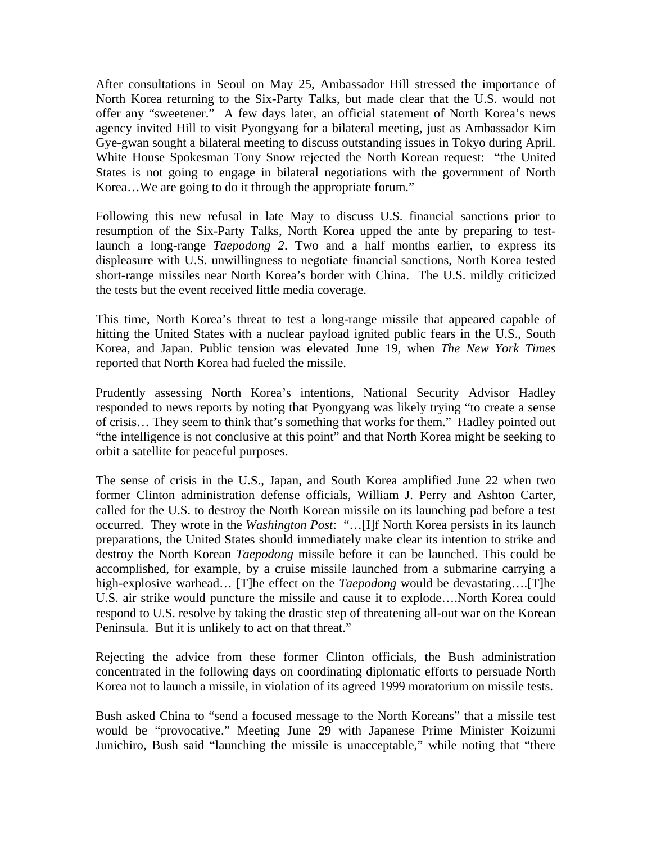After consultations in Seoul on May 25, Ambassador Hill stressed the importance of North Korea returning to the Six-Party Talks, but made clear that the U.S. would not offer any "sweetener." A few days later, an official statement of North Korea's news agency invited Hill to visit Pyongyang for a bilateral meeting, just as Ambassador Kim Gye-gwan sought a bilateral meeting to discuss outstanding issues in Tokyo during April. White House Spokesman Tony Snow rejected the North Korean request: "the United States is not going to engage in bilateral negotiations with the government of North Korea…We are going to do it through the appropriate forum."

Following this new refusal in late May to discuss U.S. financial sanctions prior to resumption of the Six-Party Talks, North Korea upped the ante by preparing to testlaunch a long-range *Taepodong 2*. Two and a half months earlier, to express its displeasure with U.S. unwillingness to negotiate financial sanctions, North Korea tested short-range missiles near North Korea's border with China. The U.S. mildly criticized the tests but the event received little media coverage.

This time, North Korea's threat to test a long-range missile that appeared capable of hitting the United States with a nuclear payload ignited public fears in the U.S., South Korea, and Japan. Public tension was elevated June 19, when *The New York Times* reported that North Korea had fueled the missile.

Prudently assessing North Korea's intentions, National Security Advisor Hadley responded to news reports by noting that Pyongyang was likely trying "to create a sense of crisis… They seem to think that's something that works for them." Hadley pointed out "the intelligence is not conclusive at this point" and that North Korea might be seeking to orbit a satellite for peaceful purposes.

The sense of crisis in the U.S., Japan, and South Korea amplified June 22 when two former Clinton administration defense officials, William J. Perry and Ashton Carter, called for the U.S. to destroy the North Korean missile on its launching pad before a test occurred. They wrote in the *Washington Post*: "…[I]f North Korea persists in its launch preparations, the United States should immediately make clear its intention to strike and destroy the North Korean *Taepodong* missile before it can be launched. This could be accomplished, for example, by a cruise missile launched from a submarine carrying a high-explosive warhead… [T]he effect on the *Taepodong* would be devastating….[T]he U.S. air strike would puncture the missile and cause it to explode….North Korea could respond to U.S. resolve by taking the drastic step of threatening all-out war on the Korean Peninsula. But it is unlikely to act on that threat."

Rejecting the advice from these former Clinton officials, the Bush administration concentrated in the following days on coordinating diplomatic efforts to persuade North Korea not to launch a missile, in violation of its agreed 1999 moratorium on missile tests.

Bush asked China to "send a focused message to the North Koreans" that a missile test would be "provocative." Meeting June 29 with Japanese Prime Minister Koizumi Junichiro, Bush said "launching the missile is unacceptable," while noting that "there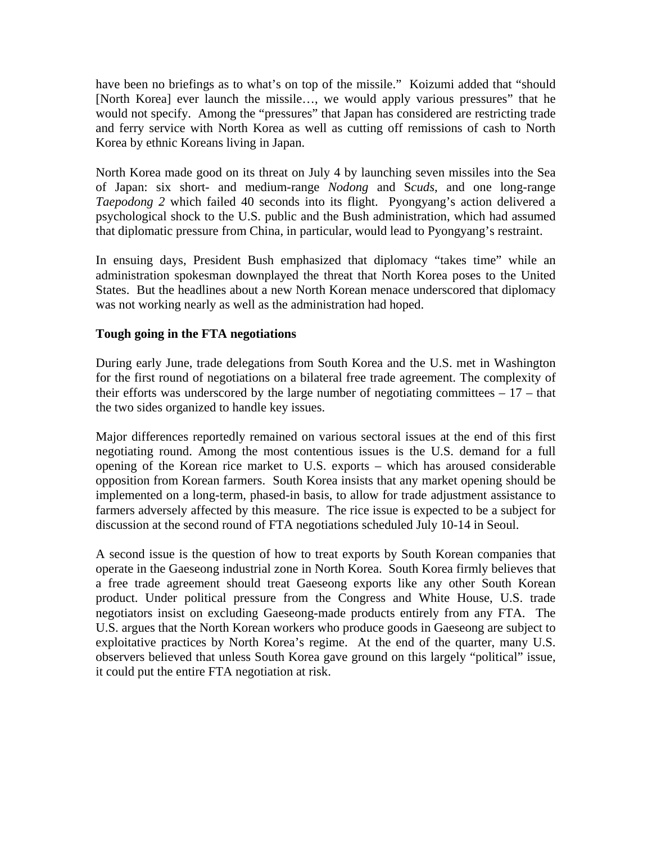have been no briefings as to what's on top of the missile." Koizumi added that "should [North Korea] ever launch the missile…, we would apply various pressures" that he would not specify. Among the "pressures" that Japan has considered are restricting trade and ferry service with North Korea as well as cutting off remissions of cash to North Korea by ethnic Koreans living in Japan.

North Korea made good on its threat on July 4 by launching seven missiles into the Sea of Japan: six short- and medium-range *Nodong* and S*cuds*, and one long-range *Taepodong 2* which failed 40 seconds into its flight. Pyongyang's action delivered a psychological shock to the U.S. public and the Bush administration, which had assumed that diplomatic pressure from China, in particular, would lead to Pyongyang's restraint.

In ensuing days, President Bush emphasized that diplomacy "takes time" while an administration spokesman downplayed the threat that North Korea poses to the United States. But the headlines about a new North Korean menace underscored that diplomacy was not working nearly as well as the administration had hoped.

#### **Tough going in the FTA negotiations**

During early June, trade delegations from South Korea and the U.S. met in Washington for the first round of negotiations on a bilateral free trade agreement. The complexity of their efforts was underscored by the large number of negotiating committees  $-17$  – that the two sides organized to handle key issues.

Major differences reportedly remained on various sectoral issues at the end of this first negotiating round. Among the most contentious issues is the U.S. demand for a full opening of the Korean rice market to U.S. exports – which has aroused considerable opposition from Korean farmers. South Korea insists that any market opening should be implemented on a long-term, phased-in basis, to allow for trade adjustment assistance to farmers adversely affected by this measure. The rice issue is expected to be a subject for discussion at the second round of FTA negotiations scheduled July 10-14 in Seoul.

A second issue is the question of how to treat exports by South Korean companies that operate in the Gaeseong industrial zone in North Korea. South Korea firmly believes that a free trade agreement should treat Gaeseong exports like any other South Korean product. Under political pressure from the Congress and White House, U.S. trade negotiators insist on excluding Gaeseong-made products entirely from any FTA. The U.S. argues that the North Korean workers who produce goods in Gaeseong are subject to exploitative practices by North Korea's regime. At the end of the quarter, many U.S. observers believed that unless South Korea gave ground on this largely "political" issue, it could put the entire FTA negotiation at risk.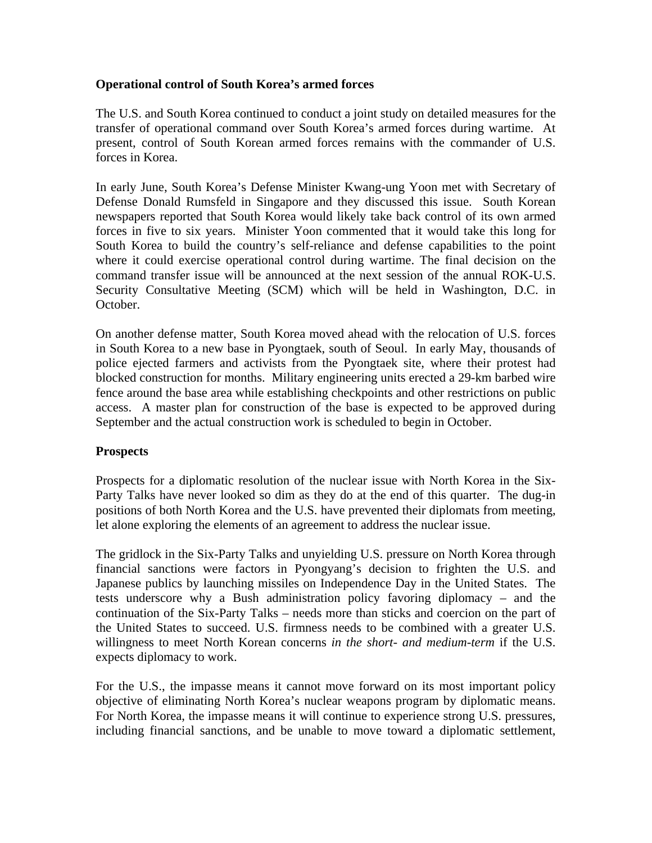#### **Operational control of South Korea's armed forces**

The U.S. and South Korea continued to conduct a joint study on detailed measures for the transfer of operational command over South Korea's armed forces during wartime. At present, control of South Korean armed forces remains with the commander of U.S. forces in Korea.

In early June, South Korea's Defense Minister Kwang-ung Yoon met with Secretary of Defense Donald Rumsfeld in Singapore and they discussed this issue. South Korean newspapers reported that South Korea would likely take back control of its own armed forces in five to six years. Minister Yoon commented that it would take this long for South Korea to build the country's self-reliance and defense capabilities to the point where it could exercise operational control during wartime. The final decision on the command transfer issue will be announced at the next session of the annual ROK-U.S. Security Consultative Meeting (SCM) which will be held in Washington, D.C. in October.

On another defense matter, South Korea moved ahead with the relocation of U.S. forces in South Korea to a new base in Pyongtaek, south of Seoul. In early May, thousands of police ejected farmers and activists from the Pyongtaek site, where their protest had blocked construction for months. Military engineering units erected a 29-km barbed wire fence around the base area while establishing checkpoints and other restrictions on public access. A master plan for construction of the base is expected to be approved during September and the actual construction work is scheduled to begin in October.

# **Prospects**

Prospects for a diplomatic resolution of the nuclear issue with North Korea in the Six-Party Talks have never looked so dim as they do at the end of this quarter. The dug-in positions of both North Korea and the U.S. have prevented their diplomats from meeting, let alone exploring the elements of an agreement to address the nuclear issue.

The gridlock in the Six-Party Talks and unyielding U.S. pressure on North Korea through financial sanctions were factors in Pyongyang's decision to frighten the U.S. and Japanese publics by launching missiles on Independence Day in the United States. The tests underscore why a Bush administration policy favoring diplomacy – and the continuation of the Six-Party Talks – needs more than sticks and coercion on the part of the United States to succeed. U.S. firmness needs to be combined with a greater U.S. willingness to meet North Korean concerns *in the short- and medium-term* if the U.S. expects diplomacy to work.

For the U.S., the impasse means it cannot move forward on its most important policy objective of eliminating North Korea's nuclear weapons program by diplomatic means. For North Korea, the impasse means it will continue to experience strong U.S. pressures, including financial sanctions, and be unable to move toward a diplomatic settlement,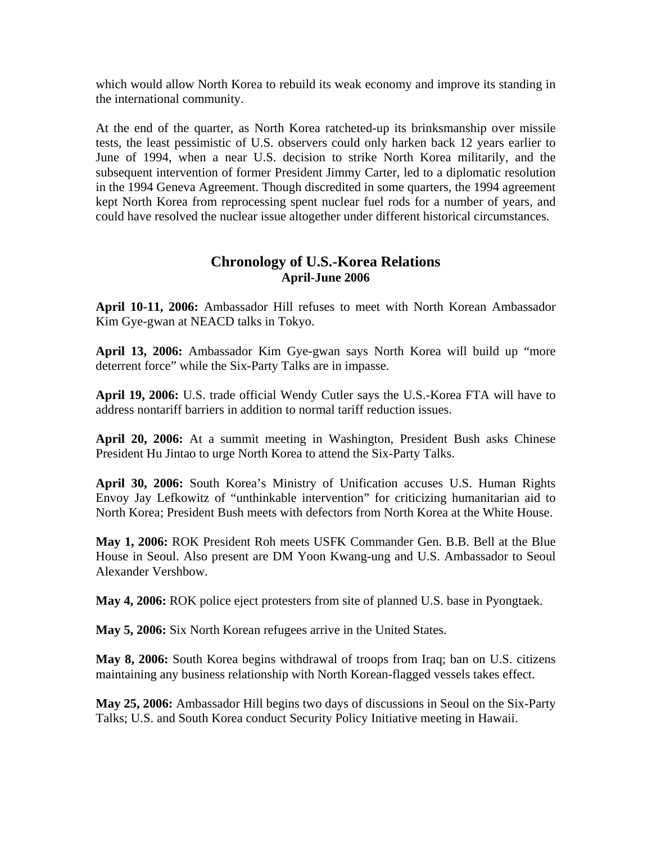which would allow North Korea to rebuild its weak economy and improve its standing in the international community.

At the end of the quarter, as North Korea ratcheted-up its brinksmanship over missile tests, the least pessimistic of U.S. observers could only harken back 12 years earlier to June of 1994, when a near U.S. decision to strike North Korea militarily, and the subsequent intervention of former President Jimmy Carter, led to a diplomatic resolution in the 1994 Geneva Agreement. Though discredited in some quarters, the 1994 agreement kept North Korea from reprocessing spent nuclear fuel rods for a number of years, and could have resolved the nuclear issue altogether under different historical circumstances.

# **Chronology of U.S.-Korea Relations April-June 2006**

**April 10-11, 2006:** Ambassador Hill refuses to meet with North Korean Ambassador Kim Gye-gwan at NEACD talks in Tokyo.

**April 13, 2006:** Ambassador Kim Gye-gwan says North Korea will build up "more deterrent force" while the Six-Party Talks are in impasse.

**April 19, 2006:** U.S. trade official Wendy Cutler says the U.S.-Korea FTA will have to address nontariff barriers in addition to normal tariff reduction issues.

**April 20, 2006:** At a summit meeting in Washington, President Bush asks Chinese President Hu Jintao to urge North Korea to attend the Six-Party Talks.

**April 30, 2006:** South Korea's Ministry of Unification accuses U.S. Human Rights Envoy Jay Lefkowitz of "unthinkable intervention" for criticizing humanitarian aid to North Korea; President Bush meets with defectors from North Korea at the White House.

**May 1, 2006:** ROK President Roh meets USFK Commander Gen. B.B. Bell at the Blue House in Seoul. Also present are DM Yoon Kwang-ung and U.S. Ambassador to Seoul Alexander Vershbow.

**May 4, 2006:** ROK police eject protesters from site of planned U.S. base in Pyongtaek.

**May 5, 2006:** Six North Korean refugees arrive in the United States.

**May 8, 2006:** South Korea begins withdrawal of troops from Iraq; ban on U.S. citizens maintaining any business relationship with North Korean-flagged vessels takes effect.

**May 25, 2006:** Ambassador Hill begins two days of discussions in Seoul on the Six-Party Talks; U.S. and South Korea conduct Security Policy Initiative meeting in Hawaii.